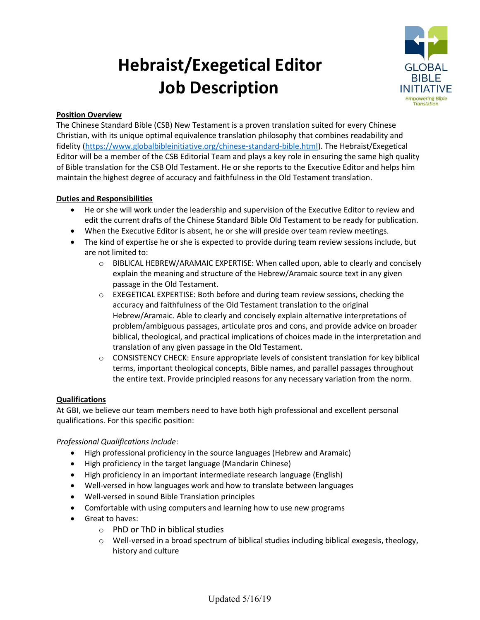# Hebraist/Exegetical Editor Job Description



## Position Overview

The Chinese Standard Bible (CSB) New Testament is a proven translation suited for every Chinese Christian, with its unique optimal equivalence translation philosophy that combines readability and fidelity (https://www.globalbibleinitiative.org/chinese-standard-bible.html). The Hebraist/Exegetical Editor will be a member of the CSB Editorial Team and plays a key role in ensuring the same high quality of Bible translation for the CSB Old Testament. He or she reports to the Executive Editor and helps him maintain the highest degree of accuracy and faithfulness in the Old Testament translation.

## Duties and Responsibilities

- He or she will work under the leadership and supervision of the Executive Editor to review and edit the current drafts of the Chinese Standard Bible Old Testament to be ready for publication.
- When the Executive Editor is absent, he or she will preside over team review meetings.
- The kind of expertise he or she is expected to provide during team review sessions include, but are not limited to:
	- $\circ$  BIBLICAL HEBREW/ARAMAIC EXPERTISE: When called upon, able to clearly and concisely explain the meaning and structure of the Hebrew/Aramaic source text in any given passage in the Old Testament.
	- $\circ$  EXEGETICAL EXPERTISE: Both before and during team review sessions, checking the accuracy and faithfulness of the Old Testament translation to the original Hebrew/Aramaic. Able to clearly and concisely explain alternative interpretations of problem/ambiguous passages, articulate pros and cons, and provide advice on broader biblical, theological, and practical implications of choices made in the interpretation and translation of any given passage in the Old Testament.
	- o CONSISTENCY CHECK: Ensure appropriate levels of consistent translation for key biblical terms, important theological concepts, Bible names, and parallel passages throughout the entire text. Provide principled reasons for any necessary variation from the norm.

### Qualifications

At GBI, we believe our team members need to have both high professional and excellent personal qualifications. For this specific position:

Professional Qualifications include:

- High professional proficiency in the source languages (Hebrew and Aramaic)
- High proficiency in the target language (Mandarin Chinese)
- High proficiency in an important intermediate research language (English)
- Well-versed in how languages work and how to translate between languages
- Well-versed in sound Bible Translation principles
- Comfortable with using computers and learning how to use new programs
- **•** Great to haves:
	- o PhD or ThD in biblical studies
	- $\circ$  Well-versed in a broad spectrum of biblical studies including biblical exegesis, theology, history and culture